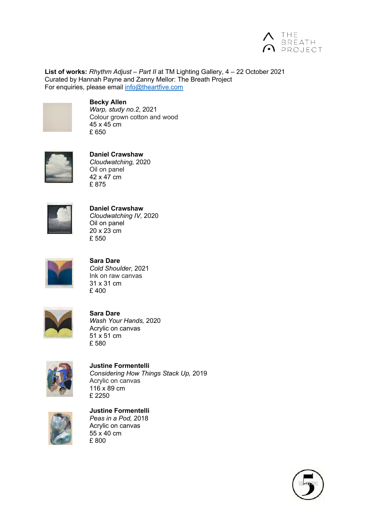

**List of works:** *Rhythm Adjust – Part II* at TM Lighting Gallery, 4 – 22 October 2021 Curated by Hannah Payne and Zanny Mellor: The Breath Project For enquiries, please email info@theartfive.com



**Becky Allen**

*Warp, study no.2*, 2021 Colour grown cotton and wood 45 x 45 cm £ 650



**Daniel Crawshaw** *Cloudwatching,* 2020 Oil on panel 42 x 47 cm £ 875



**Daniel Crawshaw** *Cloudwatching IV,* 2020 Oil on panel 20 x 23 cm £ 550



**Sara Dare** *Cold Shoulder,* 2021 Ink on raw canvas 31 x 31 cm £ 400



**Sara Dare** *Wash Your Hands,* 2020 Acrylic on canvas 51 x 51 cm £ 580



**Justine Formentelli** *Considering How Things Stack Up,* 2019 Acrylic on canvas 116 x 89 cm £ 2250



**Justine Formentelli**

*Peas in a Pod,* 2018 Acrylic on canvas  $55 \times 40$  cm £ 800

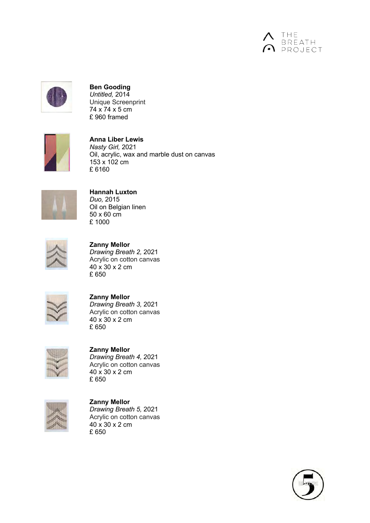



**Ben Gooding** *Untitled,* 2014 Unique Screenprint 74 x 74 x 5 cm £ 960 framed



**Anna Liber Lewis** *Nasty Girl,* 2021 Oil, acrylic, wax and marble dust on canvas 153 x 102 cm £ 6160



**Hannah Luxton** *Duo,* 2015 Oil on Belgian linen 50 x 60 cm £ 1000



**Zanny Mellor**

*Drawing Breath 2,* 2021 Acrylic on cotton canvas 40 x 30 x 2 cm £ 650



**Zanny Mellor** *Drawing Breath 3,* 2021 Acrylic on cotton canvas 40 x 30 x 2 cm £ 650



**Zanny Mellor** *Drawing Breath 4,* 2021 Acrylic on cotton canvas 40 x 30 x 2 cm £ 650



**Zanny Mellor** *Drawing Breath 5,* 2021 Acrylic on cotton canvas 40 x 30 x 2 cm £ 650

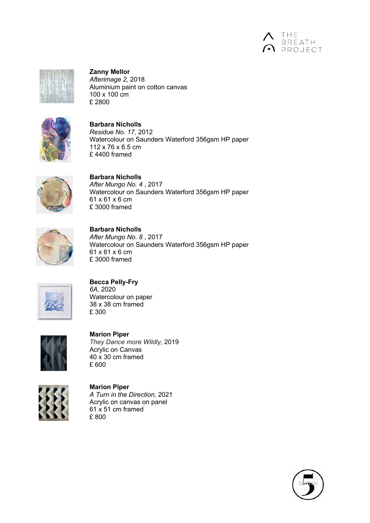



**Zanny Mellor** *Afterimage 2,* 2018 Aluminium paint on cotton canvas 100 x 100 cm £ 2800



**Barbara Nicholls** *Residue No. 17,* 2012 Watercolour on Saunders Waterford 356gsm HP paper 112 x 76 x 6.5 cm £ 4400 framed



**Barbara Nicholls** *After Mungo No. 4* , 2017 Watercolour on Saunders Waterford 356gsm HP paper 61 x 61 x 6 cm £ 3000 framed



**Barbara Nicholls** *After Mungo No. 8* , 2017 Watercolour on Saunders Waterford 356gsm HP paper 61 x 61 x 6 cm £ 3000 framed



**Becca Pelly-Fry** *6A,* 2020 Watercolour on paper 38 x 38 cm framed

£ 300



**Marion Piper** *They Dance more Wildly,* 2019 Acrylic on Canvas 40 x 30 cm framed £ 600



**Marion Piper** *A Turn in the Direction,* 2021 Acrylic on canvas on panel  $61 \times 51$  cm framed £ 800